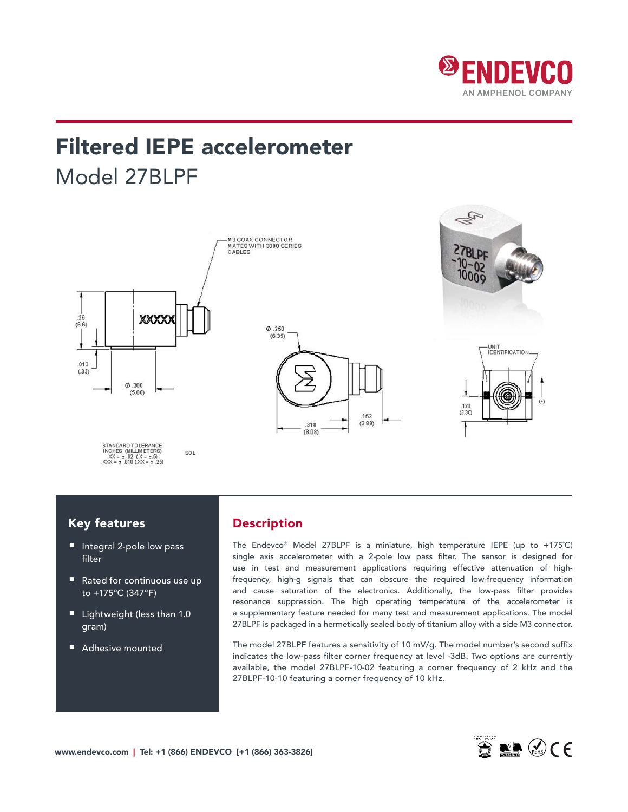

# Filtered IEPE accelerometer Model 27BLPF



### Key features

- Integral 2-pole low pass filter
- Rated for continuous use up to +175ºC (347ºF)
- Lightweight (less than 1.0 gram)
- Adhesive mounted

### Description

The Endevco® Model 27BLPF is a miniature, high temperature IEPE (up to +175˚C) single axis accelerometer with a 2-pole low pass filter. The sensor is designed for use in test and measurement applications requiring effective attenuation of highfrequency, high-g signals that can obscure the required low-frequency information and cause saturation of the electronics. Additionally, the low-pass filter provides resonance suppression. The high operating temperature of the accelerometer is a supplementary feature needed for many test and measurement applications. The model 27BLPF is packaged in a hermetically sealed body of titanium alloy with a side M3 connector.

The model 27BLPF features a sensitivity of 10 mV/g. The model number's second suffix indicates the low-pass filter corner frequency at level -3dB. Two options are currently available, the model 27BLPF-10-02 featuring a corner frequency of 2 kHz and the 27BLPF-10-10 featuring a corner frequency of 10 kHz.

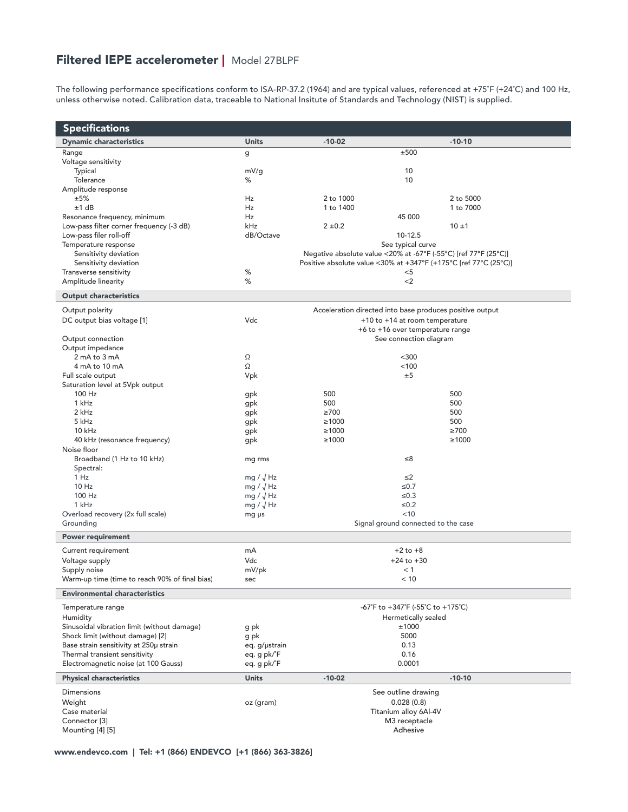## Filtered IEPE accelerometer | Model 27BLPF

The following performance specifications conform to ISA-RP-37.2 (1964) and are typical values, referenced at +75˚F (+24˚C) and 100 Hz, unless otherwise noted. Calibration data, traceable to National Insitute of Standards and Technology (NIST) is supplied.

| <b>Specifications</b>                                                           |                                      |                                   |                                                                                      |  |  |  |
|---------------------------------------------------------------------------------|--------------------------------------|-----------------------------------|--------------------------------------------------------------------------------------|--|--|--|
| <b>Dynamic characteristics</b>                                                  | <b>Units</b>                         | $-10-02$                          | $-10-10$                                                                             |  |  |  |
| Range                                                                           | g                                    |                                   | ±500                                                                                 |  |  |  |
| Voltage sensitivity                                                             |                                      |                                   |                                                                                      |  |  |  |
| Typical<br>Tolerance                                                            | mV/g<br>℅                            |                                   | 10<br>10                                                                             |  |  |  |
| Amplitude response                                                              |                                      |                                   |                                                                                      |  |  |  |
| ±5%                                                                             | Hz                                   | 2 to 1000                         | 2 to 5000                                                                            |  |  |  |
| ±1 dB                                                                           | Hz                                   | 1 to 1400                         | 1 to 7000                                                                            |  |  |  |
| Resonance frequency, minimum                                                    | Hz                                   |                                   | 45 000                                                                               |  |  |  |
| Low-pass filter corner frequency (-3 dB)                                        | kHz                                  | 2 ± 0.2                           | $10 + 1$                                                                             |  |  |  |
| Low-pass filer roll-off<br>Temperature response                                 | dB/Octave                            |                                   | 10-12.5                                                                              |  |  |  |
| Sensitivity deviation                                                           |                                      |                                   | See typical curve<br>Negative absolute value <20% at -67°F (-55°C) [ref 77°F (25°C)] |  |  |  |
| Sensitivity deviation                                                           |                                      |                                   | Positive absolute value <30% at +347°F (+175°C [ref 77°C (25°C)]                     |  |  |  |
| Transverse sensitivity                                                          | %                                    |                                   | <5                                                                                   |  |  |  |
| Amplitude linearity                                                             | %                                    |                                   | $<$ 2                                                                                |  |  |  |
| <b>Output characteristics</b>                                                   |                                      |                                   |                                                                                      |  |  |  |
| Output polarity                                                                 |                                      |                                   | Acceleration directed into base produces positive output                             |  |  |  |
| DC output bias voltage [1]                                                      | Vdc                                  |                                   | +10 to +14 at room temperature                                                       |  |  |  |
|                                                                                 |                                      |                                   | +6 to +16 over temperature range                                                     |  |  |  |
| Output connection                                                               |                                      |                                   | See connection diagram                                                               |  |  |  |
| Output impedance<br>2 mA to 3 mA                                                | Ω                                    |                                   | $300$                                                                                |  |  |  |
| 4 mA to 10 mA                                                                   | Ω                                    |                                   | < 100                                                                                |  |  |  |
| Full scale output                                                               | Vpk                                  |                                   | ±5                                                                                   |  |  |  |
| Saturation level at 5Vpk output                                                 |                                      |                                   |                                                                                      |  |  |  |
| 100 Hz                                                                          | gpk                                  | 500                               | 500                                                                                  |  |  |  |
| $1$ kHz                                                                         | gpk                                  | 500                               | 500                                                                                  |  |  |  |
| 2 kHz<br>5 kHz                                                                  | gpk                                  | $\geq 700$<br>$\geq 1000$         | 500<br>500                                                                           |  |  |  |
| 10 kHz                                                                          | gpk<br>gpk                           | $\geq 1000$                       | $\geq 700$                                                                           |  |  |  |
| 40 kHz (resonance frequency)                                                    | gpk                                  | $\geq 1000$                       | $\geq 1000$                                                                          |  |  |  |
| Noise floor                                                                     |                                      |                                   |                                                                                      |  |  |  |
| Broadband (1 Hz to 10 kHz)                                                      | mg rms                               |                                   | $\leq 8$                                                                             |  |  |  |
| Spectral:                                                                       |                                      |                                   |                                                                                      |  |  |  |
| 1 Hz<br>10Hz                                                                    | mg / $\sqrt{Hz}$<br>mg / $\sqrt{Hz}$ |                                   | $\leq$ 2<br>$\leq 0.7$                                                               |  |  |  |
| 100 Hz                                                                          | mg / $\sqrt{Hz}$                     |                                   | $\leq 0.3$                                                                           |  |  |  |
| 1 kHz                                                                           | mg / $\sqrt{Hz}$                     |                                   | $≤0.2$                                                                               |  |  |  |
| Overload recovery (2x full scale)                                               | mg µs                                |                                   | $<$ 10                                                                               |  |  |  |
| Grounding                                                                       |                                      |                                   | Signal ground connected to the case                                                  |  |  |  |
| <b>Power requirement</b>                                                        |                                      |                                   |                                                                                      |  |  |  |
| Current requirement                                                             | mA                                   |                                   | $+2$ to $+8$                                                                         |  |  |  |
| Voltage supply                                                                  | Vdc                                  |                                   | $+24$ to $+30$                                                                       |  |  |  |
| Supply noise                                                                    | mV/pk                                |                                   | < 1                                                                                  |  |  |  |
| Warm-up time (time to reach 90% of final bias)                                  | sec                                  |                                   | < 10                                                                                 |  |  |  |
| <b>Environmental characteristics</b>                                            |                                      |                                   |                                                                                      |  |  |  |
| Temperature range                                                               |                                      | -67°F to +347°F (-55°C to +175°C) |                                                                                      |  |  |  |
| Humidity                                                                        |                                      |                                   | Hermetically sealed                                                                  |  |  |  |
| Sinusoidal vibration limit (without damage)<br>Shock limit (without damage) [2] | g pk<br>g pk                         |                                   | ±1000<br>5000                                                                        |  |  |  |
| Base strain sensitivity at 250µ strain                                          | eq. g/µstrain                        |                                   | 0.13                                                                                 |  |  |  |
| Thermal transient sensitivity                                                   | eq. g pk/°F                          |                                   | 0.16                                                                                 |  |  |  |
| Electromagnetic noise (at 100 Gauss)                                            | eq. g pk/°F                          |                                   | 0.0001                                                                               |  |  |  |
| <b>Physical characteristics</b>                                                 | <b>Units</b>                         | $-10-02$                          | $-10-10$                                                                             |  |  |  |
| Dimensions                                                                      |                                      |                                   | See outline drawing                                                                  |  |  |  |
| Weight                                                                          | oz (gram)                            |                                   | 0.028(0.8)                                                                           |  |  |  |
| Case material                                                                   |                                      |                                   | Titanium alloy 6Al-4V                                                                |  |  |  |
| Connector <sup>[3]</sup>                                                        |                                      |                                   | M3 receptacle                                                                        |  |  |  |
| Mounting [4] [5]                                                                |                                      |                                   | Adhesive                                                                             |  |  |  |

www.endevco.com | Tel: +1 (866) ENDEVCO [+1 (866) 363-3826]